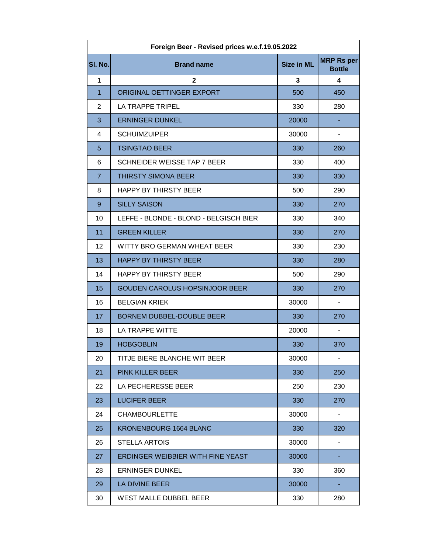| SI. No.           | <b>Brand name</b>                      | <b>Size in ML</b>       | <b>MRP Rs per</b>        |
|-------------------|----------------------------------------|-------------------------|--------------------------|
|                   |                                        |                         | <b>Bottle</b>            |
| $\mathbf{1}$      | $\mathbf{2}$                           | $\overline{\mathbf{3}}$ | 4                        |
| $\mathbf{1}$      | ORIGINAL OETTINGER EXPORT              | 500                     | 450                      |
| $\overline{2}$    | LA TRAPPE TRIPEL                       | 330                     | 280                      |
| 3                 | <b>ERNINGER DUNKEL</b>                 | 20000                   |                          |
| 4                 | <b>SCHUIMZUIPER</b>                    | 30000                   | $\overline{\phantom{a}}$ |
| 5                 | <b>TSINGTAO BEER</b>                   | 330                     | 260                      |
| 6                 | SCHNEIDER WEISSE TAP 7 BEER            | 330                     | 400                      |
| $\overline{7}$    | <b>THIRSTY SIMONA BEER</b>             | 330                     | 330                      |
| 8                 | <b>HAPPY BY THIRSTY BEER</b>           | 500                     | 290                      |
| 9                 | <b>SILLY SAISON</b>                    | 330                     | 270                      |
| 10                | LEFFE - BLONDE - BLOND - BELGISCH BIER | 330                     | 340                      |
| 11                | <b>GREEN KILLER</b>                    | 330                     | 270                      |
| $12 \overline{ }$ | WITTY BRO GERMAN WHEAT BEER            | 330                     | 230                      |
| 13                | <b>HAPPY BY THIRSTY BEER</b>           | 330                     | 280                      |
| 14                | <b>HAPPY BY THIRSTY BEER</b>           | 500                     | 290                      |
| 15                | <b>GOUDEN CAROLUS HOPSINJOOR BEER</b>  | 330                     | 270                      |
| 16                | <b>BELGIAN KRIEK</b>                   | 30000                   | $\blacksquare$           |
| 17                | <b>BORNEM DUBBEL-DOUBLE BEER</b>       | 330                     | 270                      |
| 18                | LA TRAPPE WITTE                        | 20000                   | $\overline{\phantom{a}}$ |
| 19                | <b>HOBGOBLIN</b>                       | 330                     | 370                      |
| 20                | TITJE BIERE BLANCHE WIT BEER           | 30000                   |                          |
| 21                | <b>PINK KILLER BEER</b>                | 330                     | 250                      |
| 22                | LA PECHERESSE BEER                     | 250                     | 230                      |
| 23                | <b>LUCIFER BEER</b>                    | 330                     | 270                      |
| 24                | <b>CHAMBOURLETTE</b>                   | 30000                   |                          |
| 25                | <b>KRONENBOURG 1664 BLANC</b>          | 330                     | 320                      |
| 26                | <b>STELLA ARTOIS</b>                   | 30000                   |                          |
| 27                | ERDINGER WEIBBIER WITH FINE YEAST      | 30000                   |                          |
| 28                | <b>ERNINGER DUNKEL</b>                 | 330                     | 360                      |
| 29                | LA DIVINE BEER                         | 30000                   |                          |
| 30                | WEST MALLE DUBBEL BEER                 | 330                     | 280                      |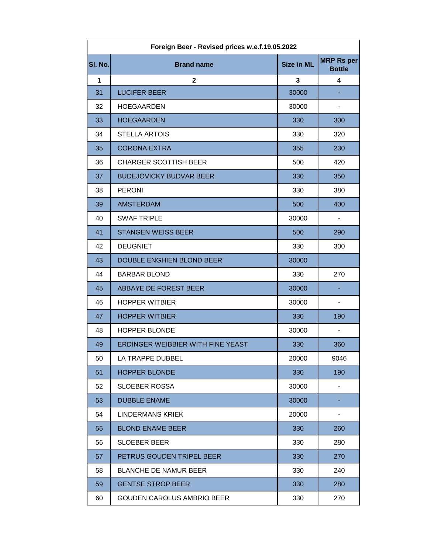| Foreign Beer - Revised prices w.e.f.19.05.2022 |                                          |                   |                                    |  |  |  |
|------------------------------------------------|------------------------------------------|-------------------|------------------------------------|--|--|--|
| SI. No.                                        | <b>Brand name</b>                        | <b>Size in ML</b> | <b>MRP Rs per</b><br><b>Bottle</b> |  |  |  |
| 1                                              | $\mathbf{2}$                             | 3                 | 4                                  |  |  |  |
| 31                                             | <b>LUCIFER BEER</b>                      | 30000             |                                    |  |  |  |
| 32                                             | <b>HOEGAARDEN</b>                        | 30000             |                                    |  |  |  |
| 33                                             | <b>HOEGAARDEN</b>                        | 330               | 300                                |  |  |  |
| 34                                             | <b>STELLA ARTOIS</b>                     | 330               | 320                                |  |  |  |
| 35                                             | <b>CORONA EXTRA</b>                      | 355               | 230                                |  |  |  |
| 36                                             | <b>CHARGER SCOTTISH BEER</b>             | 500               | 420                                |  |  |  |
| 37                                             | <b>BUDEJOVICKY BUDVAR BEER</b>           | 330               | 350                                |  |  |  |
| 38                                             | <b>PERONI</b>                            | 330               | 380                                |  |  |  |
| 39                                             | <b>AMSTERDAM</b>                         | 500               | 400                                |  |  |  |
| 40                                             | <b>SWAF TRIPLE</b>                       | 30000             | $\overline{\phantom{a}}$           |  |  |  |
| 41                                             | <b>STANGEN WEISS BEER</b>                | 500               | 290                                |  |  |  |
| 42                                             | <b>DEUGNIET</b>                          | 330               | 300                                |  |  |  |
| 43                                             | <b>DOUBLE ENGHIEN BLOND BEER</b>         | 30000             |                                    |  |  |  |
| 44                                             | <b>BARBAR BLOND</b>                      | 330               | 270                                |  |  |  |
| 45                                             | ABBAYE DE FOREST BEER                    | 30000             |                                    |  |  |  |
| 46                                             | <b>HOPPER WITBIER</b>                    | 30000             | $\overline{\phantom{a}}$           |  |  |  |
| 47                                             | <b>HOPPER WITBIER</b>                    | 330               | 190                                |  |  |  |
| 48                                             | <b>HOPPER BLONDE</b>                     | 30000             | $\qquad \qquad \blacksquare$       |  |  |  |
| 49                                             | <b>ERDINGER WEIBBIER WITH FINE YEAST</b> | 330               | 360                                |  |  |  |
| 50                                             | LA TRAPPE DUBBEL                         | 20000             | 9046                               |  |  |  |
| 51                                             | <b>HOPPER BLONDE</b>                     | 330               | 190                                |  |  |  |
| 52                                             | <b>SLOEBER ROSSA</b>                     | 30000             | $\blacksquare$                     |  |  |  |
| 53                                             | <b>DUBBLE ENAME</b>                      | 30000             |                                    |  |  |  |
| 54                                             | <b>LINDERMANS KRIEK</b>                  | 20000             | $\qquad \qquad \blacksquare$       |  |  |  |
| 55                                             | <b>BLOND ENAME BEER</b>                  | 330               | 260                                |  |  |  |
| 56                                             | <b>SLOEBER BEER</b>                      | 330               | 280                                |  |  |  |
| 57                                             | PETRUS GOUDEN TRIPEL BEER                | 330               | 270                                |  |  |  |
| 58                                             | <b>BLANCHE DE NAMUR BEER</b>             | 330               | 240                                |  |  |  |
| 59                                             | <b>GENTSE STROP BEER</b>                 | 330               | 280                                |  |  |  |
| 60                                             | <b>GOUDEN CAROLUS AMBRIO BEER</b>        | 330               | 270                                |  |  |  |